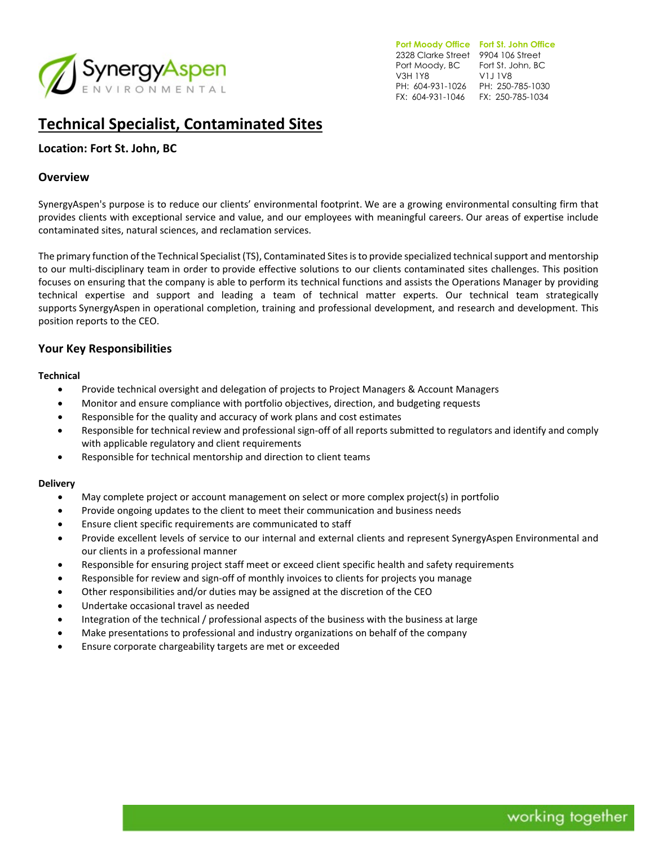

**Port Moody Office Fort St. John Office**  2328 Clarke Street 9904 106 Street Port Moody, BC Fort St. John, BC V3H 1Y8 PH: 604-931-1026 PH: 250-785-1030 FX: 604-931-1046 FX: 250-785-1034 V1J 1V8

# **Technical Specialist, Contaminated Sites**

## **Location: Fort St. John, BC**

### **Overview**

SynergyAspen's purpose is to reduce our clients' environmental footprint. We are a growing environmental consulting firm that provides clients with exceptional service and value, and our employees with meaningful careers. Our areas of expertise include contaminated sites, natural sciences, and reclamation services.

The primary function of the Technical Specialist (TS), Contaminated Sites is to provide specialized technical support and mentorship to our multi-disciplinary team in order to provide effective solutions to our clients contaminated sites challenges. This position focuses on ensuring that the company is able to perform its technical functions and assists the Operations Manager by providing technical expertise and support and leading a team of technical matter experts. Our technical team strategically supports SynergyAspen in operational completion, training and professional development, and research and development. This position reports to the CEO.

## **Your Key Responsibilities**

#### **Technical**

- Provide technical oversight and delegation of projects to Project Managers & Account Managers
- Monitor and ensure compliance with portfolio objectives, direction, and budgeting requests
- Responsible for the quality and accuracy of work plans and cost estimates
- Responsible for technical review and professional sign-off of all reports submitted to regulators and identify and comply with applicable regulatory and client requirements
- Responsible for technical mentorship and direction to client teams

#### **Delivery**

- May complete project or account management on select or more complex project(s) in portfolio
- Provide ongoing updates to the client to meet their communication and business needs
- Ensure client specific requirements are communicated to staff
- Provide excellent levels of service to our internal and external clients and represent SynergyAspen Environmental and our clients in a professional manner
- Responsible for ensuring project staff meet or exceed client specific health and safety requirements
- Responsible for review and sign-off of monthly invoices to clients for projects you manage
- Other responsibilities and/or duties may be assigned at the discretion of the CEO
- Undertake occasional travel as needed
- Integration of the technical / professional aspects of the business with the business at large
- Make presentations to professional and industry organizations on behalf of the company
- Ensure corporate chargeability targets are met or exceeded